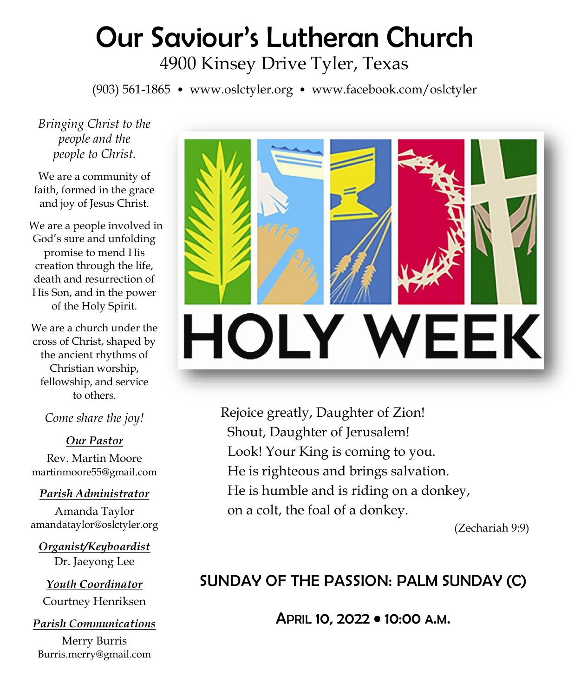# Our Saviour's Lutheran Church 4900 Kinsey Drive Tyler, Texas

(903) 561-1865 • www.oslctyler.org • www.facebook.com/oslctyler

*Bringing Christ to the people and the people to Christ.*

We are a community of faith, formed in the grace and joy of Jesus Christ.

We are a people involved in God's sure and unfolding promise to mend His creation through the life, death and resurrection of His Son, and in the power of the Holy Spirit.

We are a church under the cross of Christ, shaped by the ancient rhythms of Christian worship, fellowship, and service to others.

*Come share the joy!*

#### *Our Pastor*

Rev. Martin Moore martinmoore55@gmail.com

#### *Parish Administrator*

Amanda Taylor amandataylor@oslctyler.org

*Organist/Keyboardist* Dr. Jaeyong Lee

*Youth Coordinator* Courtney Henriksen

# *Parish Communications*

Merry Burris Burris.merry@gmail.com



 Rejoice greatly, Daughter of Zion! Shout, Daughter of Jerusalem! Look! Your King is coming to you. He is righteous and brings salvation. He is humble and is riding on a donkey, on a colt, the foal of a donkey.

(Zechariah 9:9)

# SUNDAY OF THE PASSION: PALM SUNDAY (C)

APRIL 10, 2022 • 10:00 A.M.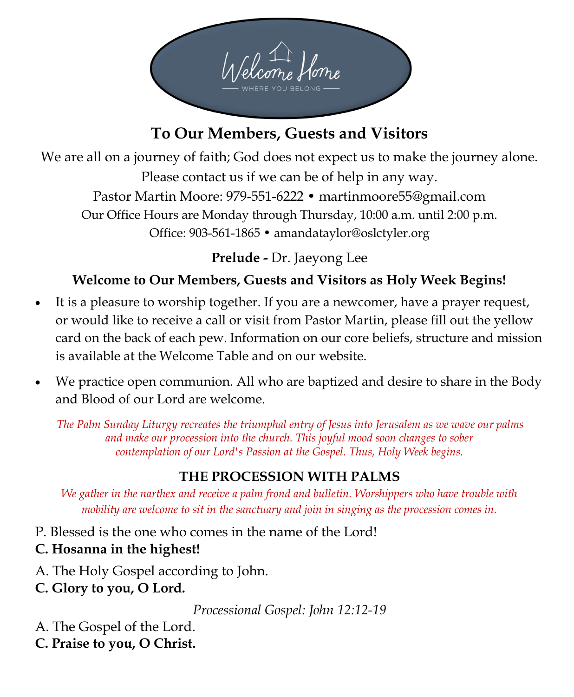

# **To Our Members, Guests and Visitors**

We are all on a journey of faith; God does not expect us to make the journey alone. Please contact us if we can be of help in any way. Pastor Martin Moore: 979-551-6222 • martinmoore55@gmail.com Our Office Hours are Monday through Thursday, 10:00 a.m. until 2:00 p.m. Office: 903-561-1865 • amandataylor@oslctyler.org

**Prelude -** Dr. Jaeyong Lee

# **Welcome to Our Members, Guests and Visitors as Holy Week Begins!**

- It is a pleasure to worship together. If you are a newcomer, have a prayer request, or would like to receive a call or visit from Pastor Martin, please fill out the yellow card on the back of each pew. Information on our core beliefs, structure and mission is available at the Welcome Table and on our website.
- We practice open communion. All who are baptized and desire to share in the Body and Blood of our Lord are welcome.

*The Palm Sunday Liturgy recreates the triumphal entry of Jesus into Jerusalem as we wave our palms and make our procession into the church. This joyful mood soon changes to sober contemplation of our Lord's Passion at the Gospel. Thus, Holy Week begins.*

# **THE PROCESSION WITH PALMS**

*We gather in the narthex and receive a palm frond and bulletin. Worshippers who have trouble with mobility are welcome to sit in the sanctuary and join in singing as the procession comes in.* 

P. Blessed is the one who comes in the name of the Lord!

# **C. Hosanna in the highest!**

- A. The Holy Gospel according to John.
- **C. Glory to you, O Lord.**

*Processional Gospel: John 12:12-19* 

- A. The Gospel of the Lord.
- **C. Praise to you, O Christ.**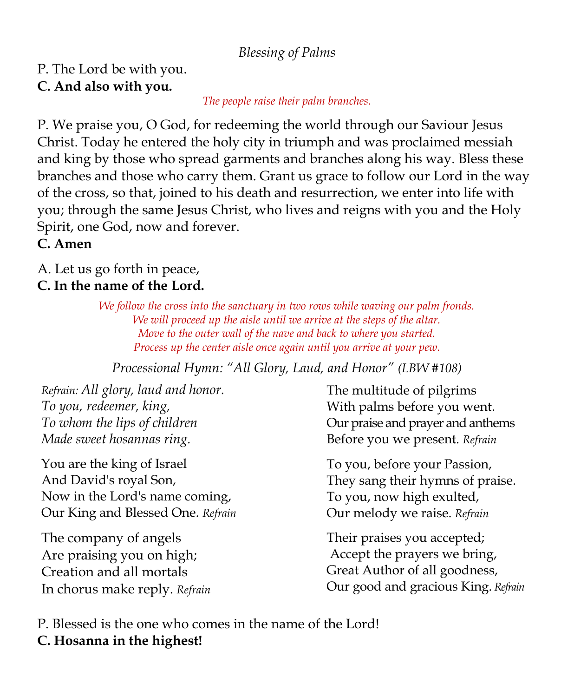### *Blessing of Palms*

### P. The Lord be with you. **C. And also with you.**

#### *The people raise their palm branches.*

P. We praise you, O God, for redeeming the world through our Saviour Jesus Christ. Today he entered the holy city in triumph and was proclaimed messiah and king by those who spread garments and branches along his way. Bless these branches and those who carry them. Grant us grace to follow our Lord in the way of the cross, so that, joined to his death and resurrection, we enter into life with you; through the same Jesus Christ, who lives and reigns with you and the Holy Spirit, one God, now and forever.

# **C. Amen**

A. Let us go forth in peace,

#### **C. In the name of the Lord.**

*We follow the cross into the sanctuary in two rows while waving our palm fronds. We will proceed up the aisle until we arrive at the steps of the altar. Move to the outer wall of the nave and back to where you started. Process up the center aisle once again until you arrive at your pew.* 

*Processional Hymn: "All Glory, Laud, and Honor" (LBW #108)*

*Refrain: All glory, laud and honor. To you, redeemer, king, To whom the lips of children Made sweet hosannas ring.*

You are the king of Israel And David's royal Son, Now in the Lord's name coming, Our King and Blessed One. *Refrain*

The company of angels Are praising you on high; Creation and all mortals In chorus make reply. *Refrain*  The multitude of pilgrims With palms before you went. Our praise and prayer and anthems Before you we present. *Refrain*

 To you, before your Passion, They sang their hymns of praise. To you, now high exulted, Our melody we raise. *Refrain*

 Their praises you accepted; Accept the prayers we bring, Great Author of all goodness, Our good and gracious King. *Refrain*

P. Blessed is the one who comes in the name of the Lord! **C. Hosanna in the highest!**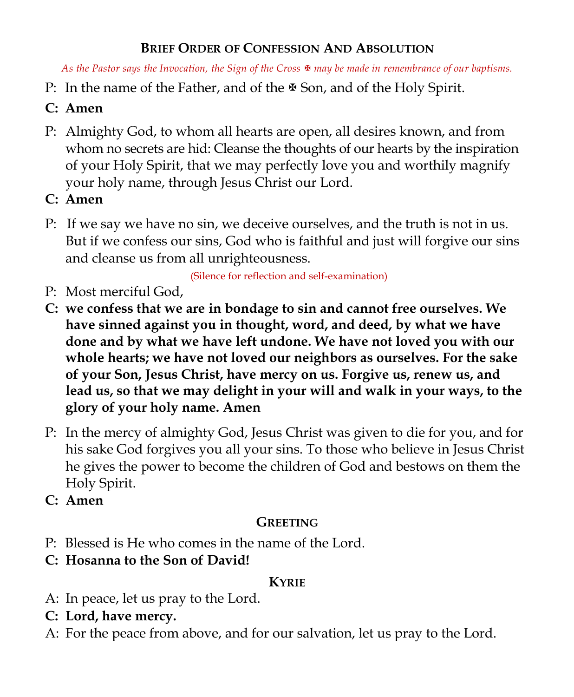# **BRIEF ORDER OF CONFESSION AND ABSOLUTION**

*As the Pastor says the Invocation, the Sign of the Cross may be made in remembrance of our baptisms.* 

- P: In the name of the Father, and of the  $\mathcal B$  Son, and of the Holy Spirit.
- **C: Amen**
- P: Almighty God, to whom all hearts are open, all desires known, and from whom no secrets are hid: Cleanse the thoughts of our hearts by the inspiration of your Holy Spirit, that we may perfectly love you and worthily magnify your holy name, through Jesus Christ our Lord.
- **C: Amen**
- P: If we say we have no sin, we deceive ourselves, and the truth is not in us. But if we confess our sins, God who is faithful and just will forgive our sins and cleanse us from all unrighteousness.

(Silence for reflection and self-examination)

- P: Most merciful God,
- **C: we confess that we are in bondage to sin and cannot free ourselves. We have sinned against you in thought, word, and deed, by what we have done and by what we have left undone. We have not loved you with our whole hearts; we have not loved our neighbors as ourselves. For the sake of your Son, Jesus Christ, have mercy on us. Forgive us, renew us, and lead us, so that we may delight in your will and walk in your ways, to the glory of your holy name. Amen**
- P: In the mercy of almighty God, Jesus Christ was given to die for you, and for his sake God forgives you all your sins. To those who believe in Jesus Christ he gives the power to become the children of God and bestows on them the Holy Spirit.
- **C: Amen**

# **GREETING**

- P: Blessed is He who comes in the name of the Lord.
- **C: Hosanna to the Son of David!**

#### **KYRIE**

- A: In peace, let us pray to the Lord.
- **C: Lord, have mercy.**
- A: For the peace from above, and for our salvation, let us pray to the Lord.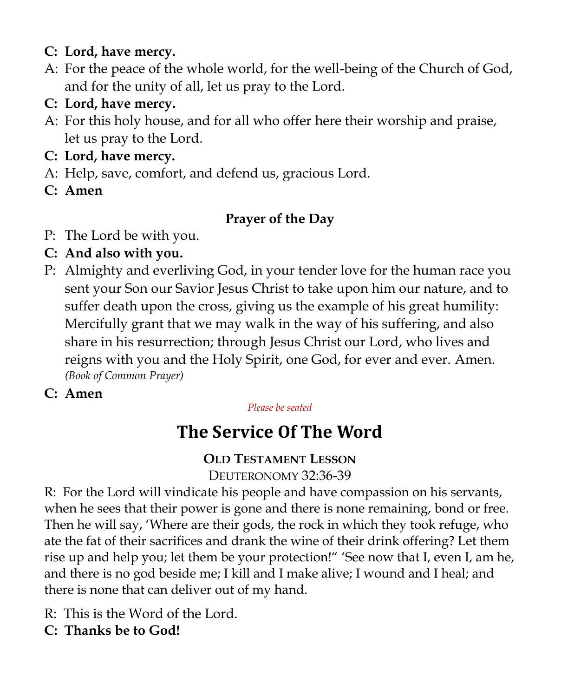### **C: Lord, have mercy.**

- A: For the peace of the whole world, for the well-being of the Church of God, and for the unity of all, let us pray to the Lord.
- **C: Lord, have mercy.**
- A: For this holy house, and for all who offer here their worship and praise, let us pray to the Lord.
- **C: Lord, have mercy.**
- A: Help, save, comfort, and defend us, gracious Lord.
- **C: Amen**

# **Prayer of the Day**

- P: The Lord be with you.
- **C: And also with you.**
- P: Almighty and everliving God, in your tender love for the human race you sent your Son our Savior Jesus Christ to take upon him our nature, and to suffer death upon the cross, giving us the example of his great humility: Mercifully grant that we may walk in the way of his suffering, and also share in his resurrection; through Jesus Christ our Lord, who lives and reigns with you and the Holy Spirit, one God, for ever and ever. Amen. *(Book of Common Prayer)*
- **C: Amen**

#### *Please be seated*

# **The Service Of The Word**

# **OLD TESTAMENT LESSON**

DEUTERONOMY 32:36-39

R: For the Lord will vindicate his people and have compassion on his servants, when he sees that their power is gone and there is none remaining, bond or free. Then he will say, 'Where are their gods, the rock in which they took refuge, who ate the fat of their sacrifices and drank the wine of their drink offering? Let them rise up and help you; let them be your protection!" 'See now that I, even I, am he, and there is no god beside me; I kill and I make alive; I wound and I heal; and there is none that can deliver out of my hand.

- R: This is the Word of the Lord.
- **C: Thanks be to God!**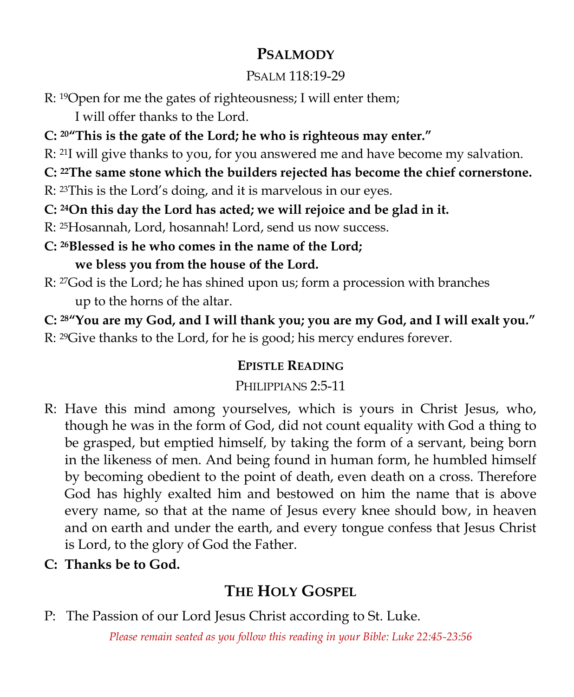# **PSALMODY**

# PSALM 118:19-29

R: 19Open for me the gates of righteousness; I will enter them;

I will offer thanks to the Lord.

- **C: 20"This is the gate of the Lord; he who is righteous may enter."**
- R: 21I will give thanks to you, for you answered me and have become my salvation.
- **C: 22The same stone which the builders rejected has become the chief cornerstone.**
- R: 23This is the Lord's doing, and it is marvelous in our eyes.
- **C: 24On this day the Lord has acted; we will rejoice and be glad in it.**
- R: 25Hosannah, Lord, hosannah! Lord, send us now success.
- **C: 26Blessed is he who comes in the name of the Lord; we bless you from the house of the Lord.**
- R: 27God is the Lord; he has shined upon us; form a procession with branches up to the horns of the altar.

**C: 28"You are my God, and I will thank you; you are my God, and I will exalt you."**

R: 29Give thanks to the Lord, for he is good; his mercy endures forever.

# **EPISTLE READING**

# PHILIPPIANS 2:5-11

- R: Have this mind among yourselves, which is yours in Christ Jesus, who, though he was in the form of God, did not count equality with God a thing to be grasped, but emptied himself, by taking the form of a servant, being born in the likeness of men. And being found in human form, he humbled himself by becoming obedient to the point of death, even death on a cross. Therefore God has highly exalted him and bestowed on him the name that is above every name, so that at the name of Jesus every knee should bow, in heaven and on earth and under the earth, and every tongue confess that Jesus Christ is Lord, to the glory of God the Father.
- **C: Thanks be to God.**

# **THE HOLY GOSPEL**

P: The Passion of our Lord Jesus Christ according to St. Luke.

*Please remain seated as you follow this reading in your Bible: Luke 22:45-23:56*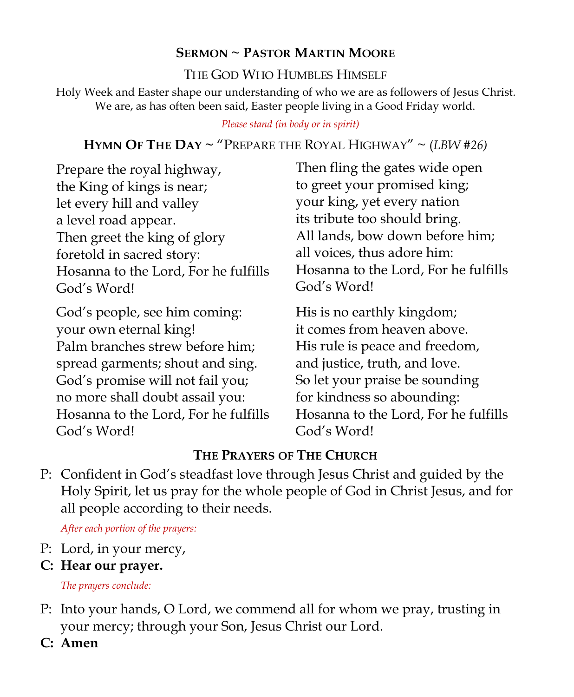# **SERMON ~ PASTOR MARTIN MOORE**

#### THE GOD WHO HUMBLES HIMSELF

Holy Week and Easter shape our understanding of who we are as followers of Jesus Christ. We are, as has often been said, Easter people living in a Good Friday world.

#### *Please stand (in body or in spirit)*

# **HYMN OF THE DAY ~** "PREPARE THE ROYAL HIGHWAY" ~ (*LBW #26)*

Prepare the royal highway, the King of kings is near; let every hill and valley a level road appear. Then greet the king of glory foretold in sacred story: Hosanna to the Lord, For he fulfills God's Word!

God's people, see him coming: your own eternal king! Palm branches strew before him; spread garments; shout and sing. God's promise will not fail you; no more shall doubt assail you: Hosanna to the Lord, For he fulfills God's Word!

Then fling the gates wide open to greet your promised king; your king, yet every nation its tribute too should bring. All lands, bow down before him; all voices, thus adore him: Hosanna to the Lord, For he fulfills God's Word!

His is no earthly kingdom; it comes from heaven above. His rule is peace and freedom, and justice, truth, and love. So let your praise be sounding for kindness so abounding: Hosanna to the Lord, For he fulfills God's Word!

# **THE PRAYERS OF THE CHURCH**

P: Confident in God's steadfast love through Jesus Christ and guided by the Holy Spirit, let us pray for the whole people of God in Christ Jesus, and for all people according to their needs.

*After each portion of the prayers:*

- P: Lord, in your mercy,
- **C: Hear our prayer.**

*The prayers conclude:*

- P: Into your hands, O Lord, we commend all for whom we pray, trusting in your mercy; through your Son, Jesus Christ our Lord.
- **C: Amen**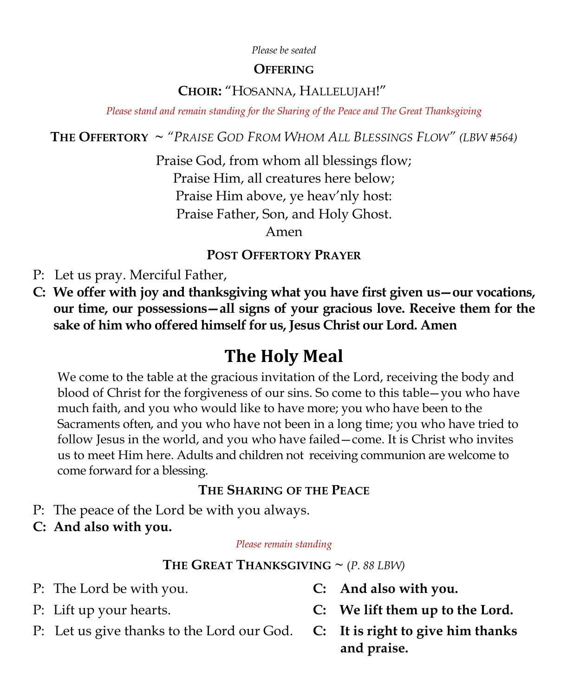#### *Please be seated*

#### **OFFERING**

#### **CHOIR:** "HOSANNA, HALLELUJAH!"

*Please stand and remain standing for the Sharing of the Peace and The Great Thanksgiving*

**THE OFFERTORY** *~ "PRAISE GOD FROM WHOM ALL BLESSINGS FLOW" (LBW #564)*

Praise God, from whom all blessings flow; Praise Him, all creatures here below; Praise Him above, ye heav'nly host: Praise Father, Son, and Holy Ghost.

Amen

#### **POST OFFERTORY PRAYER**

P: Let us pray. Merciful Father,

**C: We offer with joy and thanksgiving what you have first given us—our vocations, our time, our possessions—all signs of your gracious love. Receive them for the sake of him who offered himself for us, Jesus Christ our Lord. Amen**

# **The Holy Meal**

We come to the table at the gracious invitation of the Lord, receiving the body and blood of Christ for the forgiveness of our sins. So come to this table—you who have much faith, and you who would like to have more; you who have been to the Sacraments often, and you who have not been in a long time; you who have tried to follow Jesus in the world, and you who have failed—come. It is Christ who invites us to meet Him here. Adults and children not receiving communion are welcome to come forward for a blessing.

#### **THE SHARING OF THE PEACE**

- P: The peace of the Lord be with you always.
- **C: And also with you.**

#### *Please remain standing*

#### **THE GREAT THANKSGIVING**  $\sim$  (*P. 88 LBW*)

- P: The Lord be with you. **C: And also with you.**
- 
- P: Let us give thanks to the Lord our God. **C: It is right to give him thanks**
- 
- P: Lift up your hearts. **C: We lift them up to the Lord.**
	- **and praise.**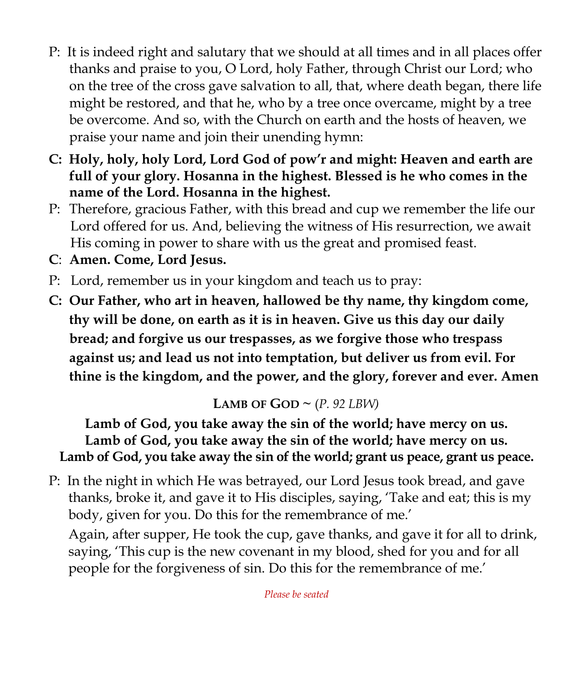- P: It is indeed right and salutary that we should at all times and in all places offer thanks and praise to you, O Lord, holy Father, through Christ our Lord; who on the tree of the cross gave salvation to all, that, where death began, there life might be restored, and that he, who by a tree once overcame, might by a tree be overcome. And so, with the Church on earth and the hosts of heaven, we praise your name and join their unending hymn:
- **C: Holy, holy, holy Lord, Lord God of pow'r and might: Heaven and earth are full of your glory. Hosanna in the highest. Blessed is he who comes in the name of the Lord. Hosanna in the highest.**
- P: Therefore, gracious Father, with this bread and cup we remember the life our Lord offered for us. And, believing the witness of His resurrection, we await His coming in power to share with us the great and promised feast.
- **C**: **Amen. Come, Lord Jesus.**
- P: Lord, remember us in your kingdom and teach us to pray:
- **C: Our Father, who art in heaven, hallowed be thy name, thy kingdom come, thy will be done, on earth as it is in heaven. Give us this day our daily bread; and forgive us our trespasses, as we forgive those who trespass against us; and lead us not into temptation, but deliver us from evil. For thine is the kingdom, and the power, and the glory, forever and ever. Amen**

# **LAMB OF GOD**  $\sim$  (*P. 92 LBW*)

# **Lamb of God, you take away the sin of the world; have mercy on us. Lamb of God, you take away the sin of the world; have mercy on us. Lamb of God, you take away the sin of the world; grant us peace, grant us peace.**

P: In the night in which He was betrayed, our Lord Jesus took bread, and gave thanks, broke it, and gave it to His disciples, saying, 'Take and eat; this is my body, given for you. Do this for the remembrance of me.'

Again, after supper, He took the cup, gave thanks, and gave it for all to drink, saying, 'This cup is the new covenant in my blood, shed for you and for all people for the forgiveness of sin. Do this for the remembrance of me.'

*Please be seated*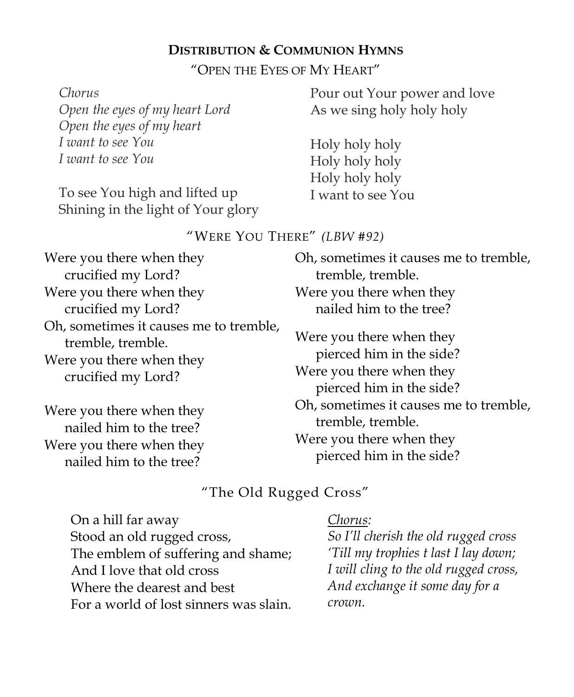#### **DISTRIBUTION & COMMUNION HYMNS**

"OPEN THE EYES OF MY HEART"

| Pour out Your power and love |
|------------------------------|
| As we sing holy holy holy    |
|                              |
| Holy holy holy               |
| Holy holy holy               |
| Holy holy holy               |
| I want to see You            |
|                              |
|                              |

#### "WERE YOU THERE" *(LBW #92)*

| Were you there when they                                                                                      | Oh, sometimes it causes me to tremble,                                                                              |
|---------------------------------------------------------------------------------------------------------------|---------------------------------------------------------------------------------------------------------------------|
| crucified my Lord?                                                                                            | tremble, tremble.                                                                                                   |
| Were you there when they                                                                                      | Were you there when they                                                                                            |
| crucified my Lord?                                                                                            | nailed him to the tree?                                                                                             |
| Oh, sometimes it causes me to tremble,<br>tremble, tremble.<br>Were you there when they<br>crucified my Lord? | Were you there when they<br>pierced him in the side?<br>Were you there when they<br>pierced him in the side?        |
| Were you there when they<br>nailed him to the tree?<br>Were you there when they<br>nailed him to the tree?    | Oh, sometimes it causes me to tremble,<br>tremble, tremble.<br>Were you there when they<br>pierced him in the side? |

### "The Old Rugged Cross"

**LOSS,**<br>**Leaders** Formers *Former* The emblem of suffering and shame;<br>And Llave that ald succes <u>Examents</u> were that the connection of the connection of the connection of the connection of the connection of the connection of the connection of the connection of the connection of the connection of the connection of the referred: **Cherryl Prime Cherryl Prime Cherry**<br> $\frac{11}{2}$  Cherry Prime Cherry For a world of lost sinners was slain. <sup>Crowi</sup> On a hill far away Stood an old rugged cross, And I love that old cross Where the dearest and best

#### *Chorus:*

*So I'll cherish the old rugged cross 'Till my trophies t last I lay down; I will cling to the old rugged cross, And exchange it some day for a crown.*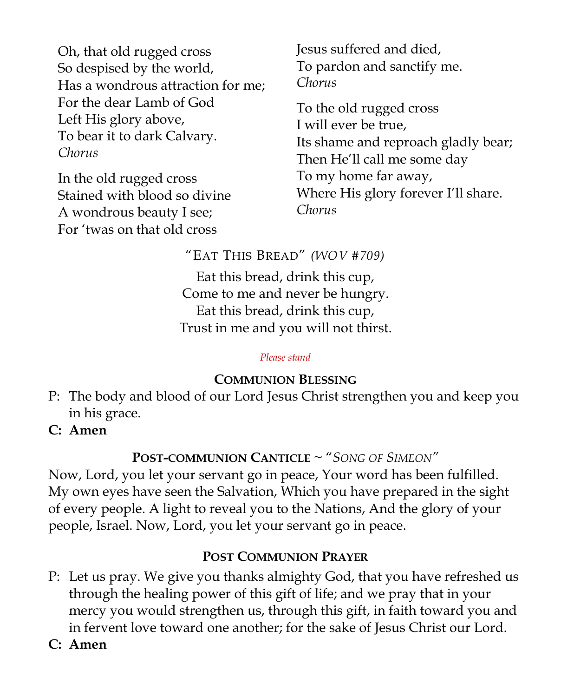Oh, that old rugged cross So despised by the world, Has a wondrous attraction for me; For the dear Lamb of God Left His glory above, To bear it to dark Calvary. *Chorus*

In the old rugged cross Stained with blood so divine A wondrous beauty I see; For 'twas on that old cross

Jesus suffered and died, To pardon and sanctify me. *Chorus*

To the old rugged cross I will ever be true, Its shame and reproach gladly bear; Then He'll call me some day To my home far away, Where His glory forever I'll share. *Chorus*

"EAT THIS BREAD" *(WOV #709)*

Eat this bread, drink this cup, Come to me and never be hungry. Eat this bread, drink this cup, Trust in me and you will not thirst.

#### *Please stand*

# **COMMUNION BLESSING**

- P: The body and blood of our Lord Jesus Christ strengthen you and keep you in his grace.
- **C: Amen**

# **POST-COMMUNION CANTICLE** ~ "*SONG OF SIMEON"*

Now, Lord, you let your servant go in peace, Your word has been fulfilled. My own eyes have seen the Salvation, Which you have prepared in the sight of every people. A light to reveal you to the Nations, And the glory of your people, Israel. Now, Lord, you let your servant go in peace.

# **POST COMMUNION PRAYER**

- P: Let us pray. We give you thanks almighty God, that you have refreshed us through the healing power of this gift of life; and we pray that in your mercy you would strengthen us, through this gift, in faith toward you and in fervent love toward one another; for the sake of Jesus Christ our Lord.
- **C: Amen**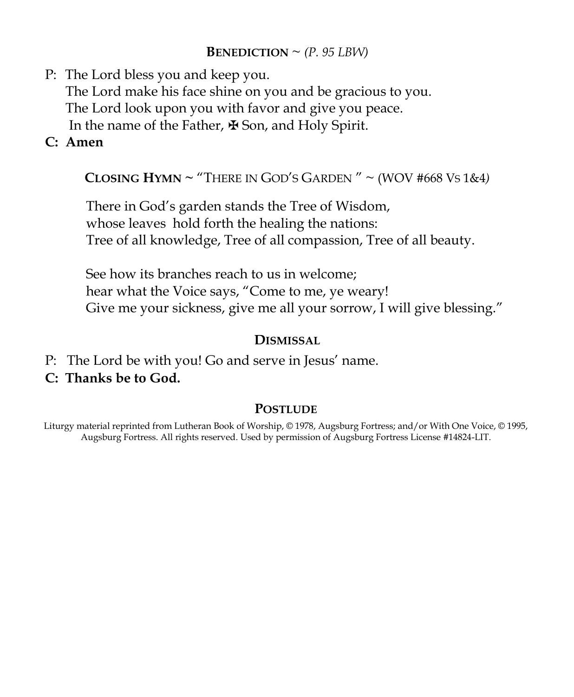#### **BENEDICTION**  $\sim$  *(P. 95 LBW)*

- P: The Lord bless you and keep you. The Lord make his face shine on you and be gracious to you. The Lord look upon you with favor and give you peace. In the name of the Father, ✠ Son, and Holy Spirit.
- **C: Amen**

**CLOSING HYMN ~** "THERE IN GOD'S GARDEN " ~ (WOV #668 VS 1&4*)*

There in God's garden stands the Tree of Wisdom, whose leaves hold forth the healing the nations: Tree of all knowledge, Tree of all compassion, Tree of all beauty.

See how its branches reach to us in welcome; hear what the Voice says, "Come to me, ye weary! Give me your sickness, give me all your sorrow, I will give blessing."

#### **DISMISSAL**

- P: The Lord be with you! Go and serve in Jesus' name.
- **C: Thanks be to God.**

#### **POSTLUDE**

Liturgy material reprinted from Lutheran Book of Worship, © 1978, Augsburg Fortress; and/or With One Voice, © 1995, Augsburg Fortress. All rights reserved. Used by permission of Augsburg Fortress License #14824-LIT.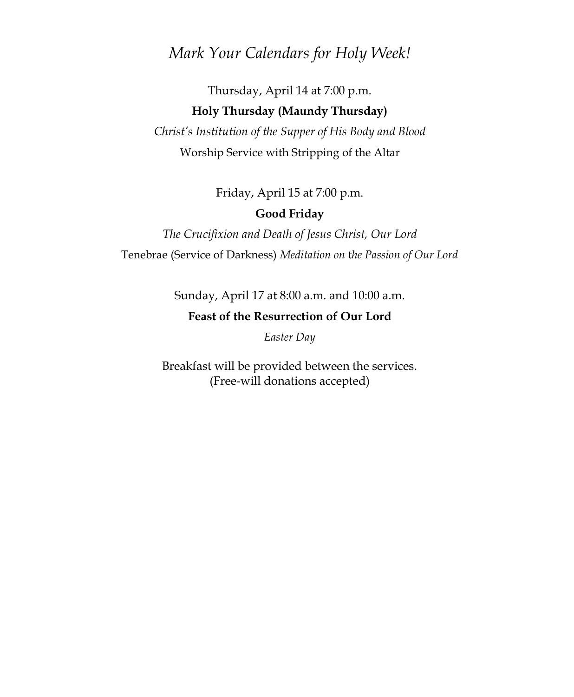### *Mark Your Calendars for Holy Week!*

# Thursday, April 14 at 7:00 p.m. **Holy Thursday (Maundy Thursday)**

*Christ's Institution of the Supper of His Body and Blood* Worship Service with Stripping of the Altar

Friday, April 15 at 7:00 p.m.

#### **Good Friday**

*The Crucifixion and Death of Jesus Christ, Our Lord* Tenebrae (Service of Darkness) *Meditation on* t*he Passion of Our Lord* 

Sunday, April 17 at 8:00 a.m. and 10:00 a.m.

#### **Feast of the Resurrection of Our Lord**

*Easter Day*

Breakfast will be provided between the services. (Free-will donations accepted)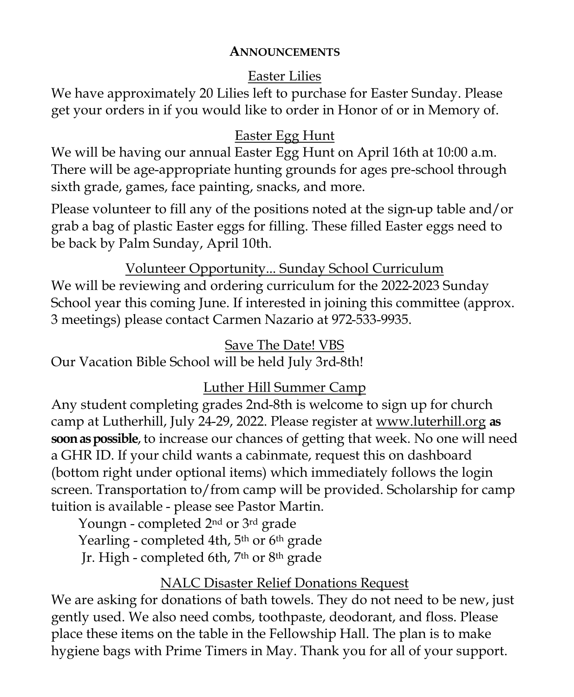#### **ANNOUNCEMENTS**

# Easter Lilies

We have approximately 20 Lilies left to purchase for Easter Sunday. Please get your orders in if you would like to order in Honor of or in Memory of.

# Easter Egg Hunt

We will be having our annual Easter Egg Hunt on April 16th at 10:00 a.m. There will be age-appropriate hunting grounds for ages pre-school through sixth grade, games, face painting, snacks, and more.

Please volunteer to fill any of the positions noted at the sign-up table and/or grab a bag of plastic Easter eggs for filling. These filled Easter eggs need to be back by Palm Sunday, April 10th.

Volunteer Opportunity... Sunday School Curriculum We will be reviewing and ordering curriculum for the 2022-2023 Sunday School year this coming June. If interested in joining this committee (approx. 3 meetings) please contact Carmen Nazario at 972-533-9935.

# Save The Date! VBS

Our Vacation Bible School will be held July 3rd-8th!

# Luther Hill Summer Camp

Any student completing grades 2nd-8th is welcome to sign up for church camp at Lutherhill, July 24-29, 2022. Please register at [www.luterhill.org](http://www.luterhill.org) **as soon aspossible**, to increase our chances of getting that week. No one will need a GHR ID. If your child wants a cabinmate, request this on dashboard (bottom right under optional items) which immediately follows the login screen. Transportation to/from camp will be provided. Scholarship for camp tuition is available - please see Pastor Martin.

Youngn - completed 2nd or 3rd grade Yearling - completed 4th, 5<sup>th</sup> or 6<sup>th</sup> grade Jr. High - completed 6th, 7th or 8th grade

# NALC Disaster Relief Donations Request

We are asking for donations of bath towels. They do not need to be new, just gently used. We also need combs, toothpaste, deodorant, and floss. Please place these items on the table in the Fellowship Hall. The plan is to make hygiene bags with Prime Timers in May. Thank you for all of your support.